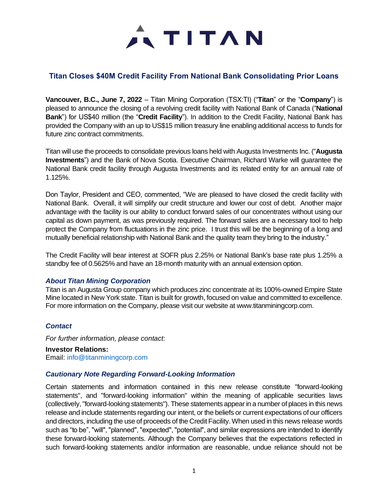

## **Titan Closes \$40M Credit Facility From National Bank Consolidating Prior Loans**

**Vancouver, B.C., June 7, 2022** – Titan Mining Corporation (TSX:TI) ("**Titan**" or the "**Company**") is pleased to announce the closing of a revolving credit facility with National Bank of Canada ("**National Bank**") for US\$40 million (the "**Credit Facility**"). In addition to the Credit Facility, National Bank has provided the Company with an up to US\$15 million treasury line enabling additional access to funds for future zinc contract commitments.

Titan will use the proceeds to consolidate previous loans held with Augusta Investments Inc. ("**Augusta Investments**") and the Bank of Nova Scotia. Executive Chairman, Richard Warke will guarantee the National Bank credit facility through Augusta Investments and its related entity for an annual rate of 1.125%.

Don Taylor, President and CEO, commented, "We are pleased to have closed the credit facility with National Bank. Overall, it will simplify our credit structure and lower our cost of debt. Another major advantage with the facility is our ability to conduct forward sales of our concentrates without using our capital as down payment, as was previously required. The forward sales are a necessary tool to help protect the Company from fluctuations in the zinc price. I trust this will be the beginning of a long and mutually beneficial relationship with National Bank and the quality team they bring to the industry."

The Credit Facility will bear interest at SOFR plus 2.25% or National Bank's base rate plus 1.25% a standby fee of 0.5625% and have an 18-month maturity with an annual extension option.

## *About Titan Mining Corporation*

Titan is an Augusta Group company which produces zinc concentrate at its 100%-owned Empire State Mine located in New York state. Titan is built for growth, focused on value and committed to excellence. For more information on the Company, please visit our website at www.titanminingcorp.com.

## *Contact*

*For further information, please contact:*

**Investor Relations:** Email: info@titanminingcorp.com

## *Cautionary Note Regarding Forward-Looking Information*

Certain statements and information contained in this new release constitute "forward-looking statements", and "forward-looking information" within the meaning of applicable securities laws (collectively, "forward-looking statements"). These statements appear in a number of places in this news release and include statements regarding our intent, or the beliefs or current expectations of our officers and directors, including the use of proceeds of the Credit Facility.When used in this news release words such as "to be", "will", "planned", "expected", "potential", and similar expressions are intended to identify these forward-looking statements. Although the Company believes that the expectations reflected in such forward-looking statements and/or information are reasonable, undue reliance should not be